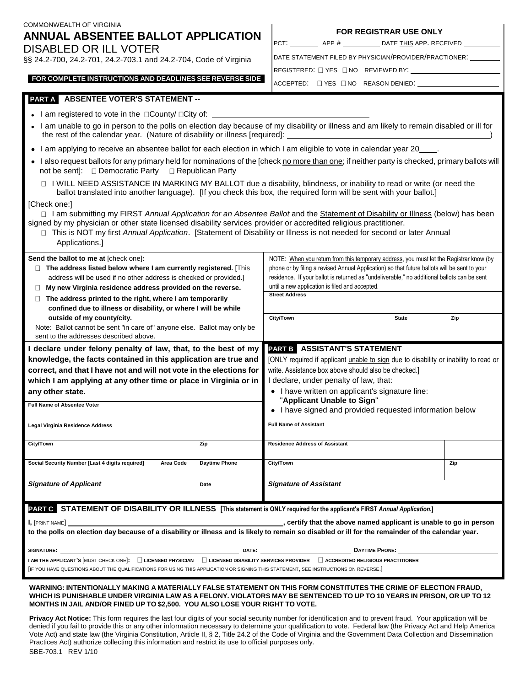| COMMONWEALTH OF VIRGINIA                                                                                                                                                                                                                                                                                                                                                                          |                                                                                              |     |  |
|---------------------------------------------------------------------------------------------------------------------------------------------------------------------------------------------------------------------------------------------------------------------------------------------------------------------------------------------------------------------------------------------------|----------------------------------------------------------------------------------------------|-----|--|
| ANNUAL ABSENTEE BALLOT APPLICATION                                                                                                                                                                                                                                                                                                                                                                | <b>FOR REGISTRAR USE ONLY</b>                                                                |     |  |
| DISABLED OR ILL VOTER                                                                                                                                                                                                                                                                                                                                                                             | PCT: _____________ APP # ______________ DATE THIS APP. RECEIVED _______________              |     |  |
| §§ 24.2-700, 24.2-701, 24.2-703.1 and 24.2-704, Code of Virginia                                                                                                                                                                                                                                                                                                                                  | DATE STATEMENT FILED BY PHYSICIAN/PROVIDER/PRACTIONER: UNIT                                  |     |  |
|                                                                                                                                                                                                                                                                                                                                                                                                   | REGISTERED: $\Box$ YES $\Box$ NO REVIEWED BY:                                                |     |  |
| FOR COMPLETE INSTRUCTIONS AND DEADLINES SEE REVERSE SIDE                                                                                                                                                                                                                                                                                                                                          | ACCEPTED: □ YES □ NO REASON DENIED: __________                                               |     |  |
| PART A ABSENTEE VOTER'S STATEMENT --                                                                                                                                                                                                                                                                                                                                                              |                                                                                              |     |  |
| • I am registered to vote in the □County/ □City of: ____________________________                                                                                                                                                                                                                                                                                                                  |                                                                                              |     |  |
| . I am unable to go in person to the polls on election day because of my disability or illness and am likely to remain disabled or ill for                                                                                                                                                                                                                                                        |                                                                                              |     |  |
| • I am applying to receive an absentee ballot for each election in which I am eligible to vote in calendar year 20____.                                                                                                                                                                                                                                                                           |                                                                                              |     |  |
| • I also request ballots for any primary held for nominations of the [check no more than one; if neither party is checked, primary ballots will<br>not be sent]: □ Democratic Party □ Republican Party                                                                                                                                                                                            |                                                                                              |     |  |
| □ I WILL NEED ASSISTANCE IN MARKING MY BALLOT due a disability, blindness, or inability to read or write (or need the<br>ballot translated into another language). [If you check this box, the required form will be sent with your ballot.]                                                                                                                                                      |                                                                                              |     |  |
| [Check one:]                                                                                                                                                                                                                                                                                                                                                                                      |                                                                                              |     |  |
| □ I am submitting my FIRST Annual Application for an Absentee Ballot and the Statement of Disability or Illness (below) has been<br>signed by my physician or other state licensed disability services provider or accredited religious practitioner.<br>□ This is NOT my first Annual Application. [Statement of Disability or Illness is not needed for second or later Annual<br>Applications. |                                                                                              |     |  |
| Send the ballot to me at [check one]:                                                                                                                                                                                                                                                                                                                                                             | NOTE: When you return from this temporary address, you must let the Registrar know (by       |     |  |
| $\Box$ The address listed below where I am currently registered. [This                                                                                                                                                                                                                                                                                                                            | phone or by filing a revised Annual Application) so that future ballots will be sent to your |     |  |
| address will be used if no other address is checked or provided.]                                                                                                                                                                                                                                                                                                                                 | residence. If your ballot is returned as "undeliverable," no additional ballots can be sent  |     |  |
| $\Box$ My new Virginia residence address provided on the reverse.                                                                                                                                                                                                                                                                                                                                 | until a new application is filed and accepted.<br><b>Street Address</b>                      |     |  |
| $\Box$ The address printed to the right, where I am temporarily<br>confined due to illness or disability, or where I will be while                                                                                                                                                                                                                                                                |                                                                                              |     |  |
| outside of my county/city.                                                                                                                                                                                                                                                                                                                                                                        | City/Town<br><b>State</b>                                                                    | Zip |  |
| Note: Ballot cannot be sent "in care of" anyone else. Ballot may only be                                                                                                                                                                                                                                                                                                                          |                                                                                              |     |  |
| sent to the addresses described above.                                                                                                                                                                                                                                                                                                                                                            |                                                                                              |     |  |
| I declare under felony penalty of law, that, to the best of my                                                                                                                                                                                                                                                                                                                                    | PART B ASSISTANT'S STATEMENT                                                                 |     |  |
| knowledge, the facts contained in this application are true and                                                                                                                                                                                                                                                                                                                                   | [ONLY required if applicant unable to sign due to disability or inability to read or         |     |  |
| correct, and that I have not and will not vote in the elections for                                                                                                                                                                                                                                                                                                                               | write. Assistance box above should also be checked.]                                         |     |  |
| which I am applying at any other time or place in Virginia or in                                                                                                                                                                                                                                                                                                                                  | I declare, under penalty of law, that:                                                       |     |  |
| any other state.                                                                                                                                                                                                                                                                                                                                                                                  | • I have written on applicant's signature line:<br>"Applicant Unable to Sign"                |     |  |
| Full Name of Absentee Voter                                                                                                                                                                                                                                                                                                                                                                       | • I have signed and provided requested information below                                     |     |  |
| Legal Virginia Residence Address                                                                                                                                                                                                                                                                                                                                                                  | <b>Full Name of Assistant</b>                                                                |     |  |
| City/Town<br>Zip                                                                                                                                                                                                                                                                                                                                                                                  | <b>Residence Address of Assistant</b>                                                        |     |  |
| Social Security Number [Last 4 digits required]<br>Area Code<br><b>Daytime Phone</b>                                                                                                                                                                                                                                                                                                              | City/Town                                                                                    | Zip |  |

**WARNING: INTENTIONALLY MAKING A MATERIALLY FALSE STATEMENT ON THIS FORM CONSTITUTES THE CRIME OF ELECTION FRAUD,** WHICH IS PUNISHABLE UNDER VIRGINIA LAW AS A FELONY. VIOLATORS MAY BE SENTENCED TO UP TO 10 YEARS IN PRISON, OR UP TO 12 **MONTHS IN JAIL AND/OR FINED UP TO \$2,500. YOU ALSO LOSE YOUR RIGHT TO VOTE.** 

**I,** [PRINT NAME] **, certify that the above named applicant is unable to go in person to the polls on election day because of a disability or illness and is likely to remain so disabled or ill for the remainder of the calendar year.** 

**PART C STATEMENT OF DISABILITY OR ILLNESS [This statement is ONLY required for the applicant's FIRST** *Annual Application***.]**

**SIGNATURE: DATE: DAYTIME PHONE: I AM THE APPLICANT<sup>1</sup>S [MUST CHECK ONE]: □ LICENSED PHYSICIAN □ LICENSED DISABILITY SERVICES PROVIDER □ ACCREDITED RELIGIOUS PRACTITIONER** 

[IF YOU HAVE QUESTIONS ABOUT THE QUALIFICATIONS FOR USING THIS APPLICATION OR SIGNING THIS STATEMENT, SEE INSTRUCTIONS ON REVERSE.]

*Signature of Applicant* **Date** *Signature of Assistant*

**Privacy Act Notice:** This form requires the last four digits of your social security number for identification and to prevent fraud. Your application will be denied if you fail to provide this or any other information necessary to determine your qualification to vote. Federal law (the Privacy Act and Help America Vote Act) and state law (the Virginia Constitution, Article II, § 2, Title 24.2 of the Code of Virginia and the Government Data Collection and Dissemination Practices Act) authorize collecting this information and restrict its use to official purposes only.